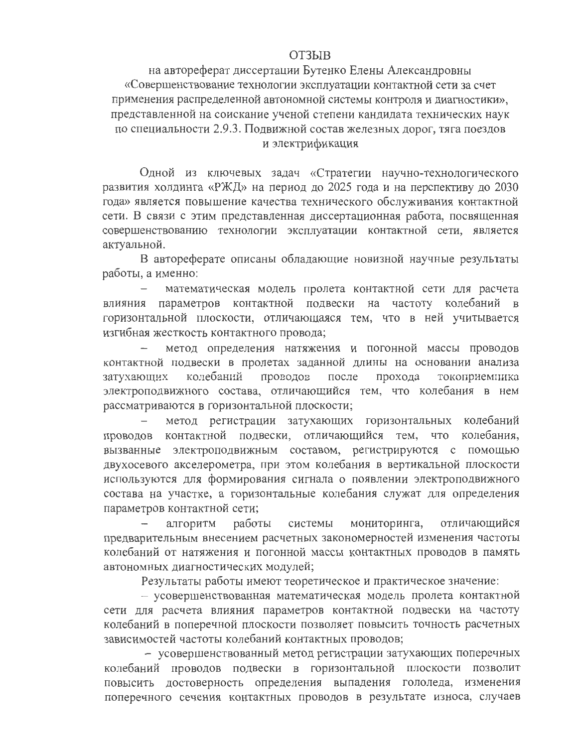## **ОТЗЫВ**

на автореферат диссертации Бутенко Елены Александровны «Совершенствование технологии эксплуатации контактной сети за счет применения распределенной автономной системы контроля и диагностики», представленной на соискание ученой степени кандидата технических наук по специальности 2.9.3. Подвижной состав железных дорог, тяга поездов и электрификация

Одной из ключевых задач «Стратегии научно-технологического развития холдинга «РЖД» на период до 2025 года и на перспективу до 2030 года» является повышение качества технического обслуживания контактной сети. В связи с этим представленная диссертационная работа, посвященная совершенствованию технологии эксплуатации контактной сети, является актуальной.

В автореферате описаны обладающие новизной научные результаты работы, а именно:

математическая модель пролета контактной сети для расчета влияния параметров контактной подвески на частоту колебаний в горизонтальной плоскости, отличающаяся тем, что в ней учитывается изгибная жесткость контактного провода;

метод определения натяжения и погонной массы проводов контактной подвески в пролетах заданной длины на основании анализа колебаний проводов после прохода токоприемника затухающих электроподвижного состава, отличающийся тем, что колебания в нем рассматриваются в горизонтальной плоскости;

метод регистрации затухающих горизонтальных колебаний проводов контактной подвески, отличающийся тем, что колебания, вызванные электроподвижным составом, регистрируются с помощью двухосевого акселерометра, при этом колебания в вертикальной плоскости используются для формирования сигнала о появлении электроподвижного состава на участке, а горизонтальные колебания служат для определения параметров контактной сети;

отличающийся работы системы мониторинга, алгоритм предварительным внесением расчетных закономерностей изменения частоты колебаний от натяжения и погонной массы контактных проводов в память автономных диагностических модулей;

Результаты работы имеют теоретическое и практическое значение:

- усовершенствованная математическая модель пролета контактной сети для расчета влияния параметров контактной подвески на частоту колебаний в поперечной плоскости позволяет повысить точность расчетных зависимостей частоты колебаний контактных проводов;

- усовершенствованный метод регистрации затухающих поперечных колебаний проводов подвески в горизонтальной плоскости позволит повысить достоверность определения выпадения гололеда, изменения поперечного сечения контактных проводов в результате износа, случаев